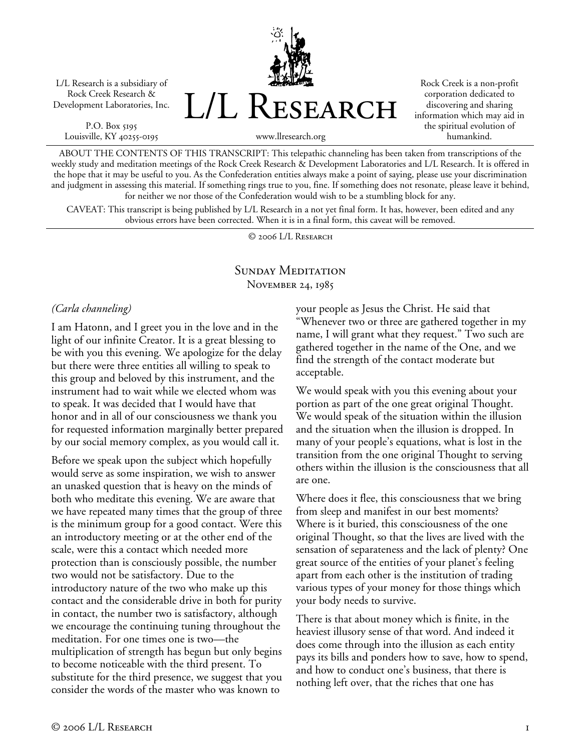L/L Research is a subsidiary of Rock Creek Research & Development Laboratories, Inc.

P.O. Box 5195 Louisville, KY 40255-0195 L/L Research

Rock Creek is a non-profit corporation dedicated to discovering and sharing information which may aid in the spiritual evolution of humankind.

www.llresearch.org

ABOUT THE CONTENTS OF THIS TRANSCRIPT: This telepathic channeling has been taken from transcriptions of the weekly study and meditation meetings of the Rock Creek Research & Development Laboratories and L/L Research. It is offered in the hope that it may be useful to you. As the Confederation entities always make a point of saying, please use your discrimination and judgment in assessing this material. If something rings true to you, fine. If something does not resonate, please leave it behind, for neither we nor those of the Confederation would wish to be a stumbling block for any.

CAVEAT: This transcript is being published by L/L Research in a not yet final form. It has, however, been edited and any obvious errors have been corrected. When it is in a final form, this caveat will be removed.

© 2006 L/L Research

#### SUNDAY MEDITATION November 24, 1985

#### *(Carla channeling)*

I am Hatonn, and I greet you in the love and in the light of our infinite Creator. It is a great blessing to be with you this evening. We apologize for the delay but there were three entities all willing to speak to this group and beloved by this instrument, and the instrument had to wait while we elected whom was to speak. It was decided that I would have that honor and in all of our consciousness we thank you for requested information marginally better prepared by our social memory complex, as you would call it.

Before we speak upon the subject which hopefully would serve as some inspiration, we wish to answer an unasked question that is heavy on the minds of both who meditate this evening. We are aware that we have repeated many times that the group of three is the minimum group for a good contact. Were this an introductory meeting or at the other end of the scale, were this a contact which needed more protection than is consciously possible, the number two would not be satisfactory. Due to the introductory nature of the two who make up this contact and the considerable drive in both for purity in contact, the number two is satisfactory, although we encourage the continuing tuning throughout the meditation. For one times one is two—the multiplication of strength has begun but only begins to become noticeable with the third present. To substitute for the third presence, we suggest that you consider the words of the master who was known to

your people as Jesus the Christ. He said that "Whenever two or three are gathered together in my name, I will grant what they request." Two such are gathered together in the name of the One, and we find the strength of the contact moderate but acceptable.

We would speak with you this evening about your portion as part of the one great original Thought. We would speak of the situation within the illusion and the situation when the illusion is dropped. In many of your people's equations, what is lost in the transition from the one original Thought to serving others within the illusion is the consciousness that all are one.

Where does it flee, this consciousness that we bring from sleep and manifest in our best moments? Where is it buried, this consciousness of the one original Thought, so that the lives are lived with the sensation of separateness and the lack of plenty? One great source of the entities of your planet's feeling apart from each other is the institution of trading various types of your money for those things which your body needs to survive.

There is that about money which is finite, in the heaviest illusory sense of that word. And indeed it does come through into the illusion as each entity pays its bills and ponders how to save, how to spend, and how to conduct one's business, that there is nothing left over, that the riches that one has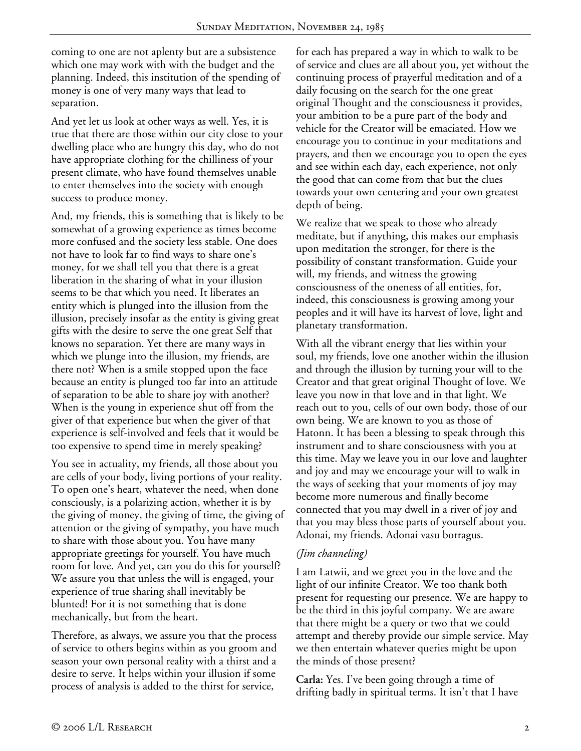coming to one are not aplenty but are a subsistence which one may work with with the budget and the planning. Indeed, this institution of the spending of money is one of very many ways that lead to separation.

And yet let us look at other ways as well. Yes, it is true that there are those within our city close to your dwelling place who are hungry this day, who do not have appropriate clothing for the chilliness of your present climate, who have found themselves unable to enter themselves into the society with enough success to produce money.

And, my friends, this is something that is likely to be somewhat of a growing experience as times become more confused and the society less stable. One does not have to look far to find ways to share one's money, for we shall tell you that there is a great liberation in the sharing of what in your illusion seems to be that which you need. It liberates an entity which is plunged into the illusion from the illusion, precisely insofar as the entity is giving great gifts with the desire to serve the one great Self that knows no separation. Yet there are many ways in which we plunge into the illusion, my friends, are there not? When is a smile stopped upon the face because an entity is plunged too far into an attitude of separation to be able to share joy with another? When is the young in experience shut off from the giver of that experience but when the giver of that experience is self-involved and feels that it would be too expensive to spend time in merely speaking?

You see in actuality, my friends, all those about you are cells of your body, living portions of your reality. To open one's heart, whatever the need, when done consciously, is a polarizing action, whether it is by the giving of money, the giving of time, the giving of attention or the giving of sympathy, you have much to share with those about you. You have many appropriate greetings for yourself. You have much room for love. And yet, can you do this for yourself? We assure you that unless the will is engaged, your experience of true sharing shall inevitably be blunted! For it is not something that is done mechanically, but from the heart.

Therefore, as always, we assure you that the process of service to others begins within as you groom and season your own personal reality with a thirst and a desire to serve. It helps within your illusion if some process of analysis is added to the thirst for service,

for each has prepared a way in which to walk to be of service and clues are all about you, yet without the continuing process of prayerful meditation and of a daily focusing on the search for the one great original Thought and the consciousness it provides, your ambition to be a pure part of the body and vehicle for the Creator will be emaciated. How we encourage you to continue in your meditations and prayers, and then we encourage you to open the eyes and see within each day, each experience, not only the good that can come from that but the clues towards your own centering and your own greatest depth of being.

We realize that we speak to those who already meditate, but if anything, this makes our emphasis upon meditation the stronger, for there is the possibility of constant transformation. Guide your will, my friends, and witness the growing consciousness of the oneness of all entities, for, indeed, this consciousness is growing among your peoples and it will have its harvest of love, light and planetary transformation.

With all the vibrant energy that lies within your soul, my friends, love one another within the illusion and through the illusion by turning your will to the Creator and that great original Thought of love. We leave you now in that love and in that light. We reach out to you, cells of our own body, those of our own being. We are known to you as those of Hatonn. It has been a blessing to speak through this instrument and to share consciousness with you at this time. May we leave you in our love and laughter and joy and may we encourage your will to walk in the ways of seeking that your moments of joy may become more numerous and finally become connected that you may dwell in a river of joy and that you may bless those parts of yourself about you. Adonai, my friends. Adonai vasu borragus.

### *(Jim channeling)*

I am Latwii, and we greet you in the love and the light of our infinite Creator. We too thank both present for requesting our presence. We are happy to be the third in this joyful company. We are aware that there might be a query or two that we could attempt and thereby provide our simple service. May we then entertain whatever queries might be upon the minds of those present?

**Carla:** Yes. I've been going through a time of drifting badly in spiritual terms. It isn't that I have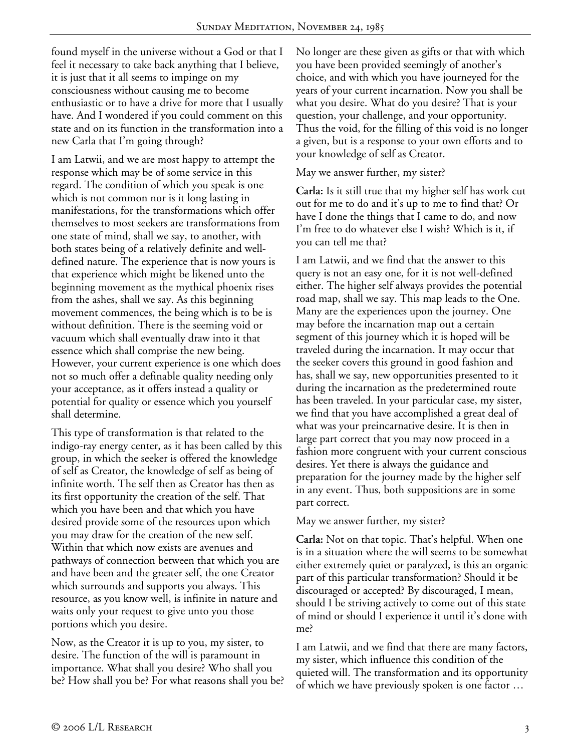found myself in the universe without a God or that I feel it necessary to take back anything that I believe, it is just that it all seems to impinge on my consciousness without causing me to become enthusiastic or to have a drive for more that I usually have. And I wondered if you could comment on this state and on its function in the transformation into a new Carla that I'm going through?

I am Latwii, and we are most happy to attempt the response which may be of some service in this regard. The condition of which you speak is one which is not common nor is it long lasting in manifestations, for the transformations which offer themselves to most seekers are transformations from one state of mind, shall we say, to another, with both states being of a relatively definite and welldefined nature. The experience that is now yours is that experience which might be likened unto the beginning movement as the mythical phoenix rises from the ashes, shall we say. As this beginning movement commences, the being which is to be is without definition. There is the seeming void or vacuum which shall eventually draw into it that essence which shall comprise the new being. However, your current experience is one which does not so much offer a definable quality needing only your acceptance, as it offers instead a quality or potential for quality or essence which you yourself shall determine.

This type of transformation is that related to the indigo-ray energy center, as it has been called by this group, in which the seeker is offered the knowledge of self as Creator, the knowledge of self as being of infinite worth. The self then as Creator has then as its first opportunity the creation of the self. That which you have been and that which you have desired provide some of the resources upon which you may draw for the creation of the new self. Within that which now exists are avenues and pathways of connection between that which you are and have been and the greater self, the one Creator which surrounds and supports you always. This resource, as you know well, is infinite in nature and waits only your request to give unto you those portions which you desire.

Now, as the Creator it is up to you, my sister, to desire. The function of the will is paramount in importance. What shall you desire? Who shall you be? How shall you be? For what reasons shall you be? No longer are these given as gifts or that with which you have been provided seemingly of another's choice, and with which you have journeyed for the years of your current incarnation. Now you shall be what you desire. What do you desire? That is your question, your challenge, and your opportunity. Thus the void, for the filling of this void is no longer a given, but is a response to your own efforts and to your knowledge of self as Creator.

#### May we answer further, my sister?

**Carla:** Is it still true that my higher self has work cut out for me to do and it's up to me to find that? Or have I done the things that I came to do, and now I'm free to do whatever else I wish? Which is it, if you can tell me that?

I am Latwii, and we find that the answer to this query is not an easy one, for it is not well-defined either. The higher self always provides the potential road map, shall we say. This map leads to the One. Many are the experiences upon the journey. One may before the incarnation map out a certain segment of this journey which it is hoped will be traveled during the incarnation. It may occur that the seeker covers this ground in good fashion and has, shall we say, new opportunities presented to it during the incarnation as the predetermined route has been traveled. In your particular case, my sister, we find that you have accomplished a great deal of what was your preincarnative desire. It is then in large part correct that you may now proceed in a fashion more congruent with your current conscious desires. Yet there is always the guidance and preparation for the journey made by the higher self in any event. Thus, both suppositions are in some part correct.

#### May we answer further, my sister?

**Carla:** Not on that topic. That's helpful. When one is in a situation where the will seems to be somewhat either extremely quiet or paralyzed, is this an organic part of this particular transformation? Should it be discouraged or accepted? By discouraged, I mean, should I be striving actively to come out of this state of mind or should I experience it until it's done with me?

I am Latwii, and we find that there are many factors, my sister, which influence this condition of the quieted will. The transformation and its opportunity of which we have previously spoken is one factor …